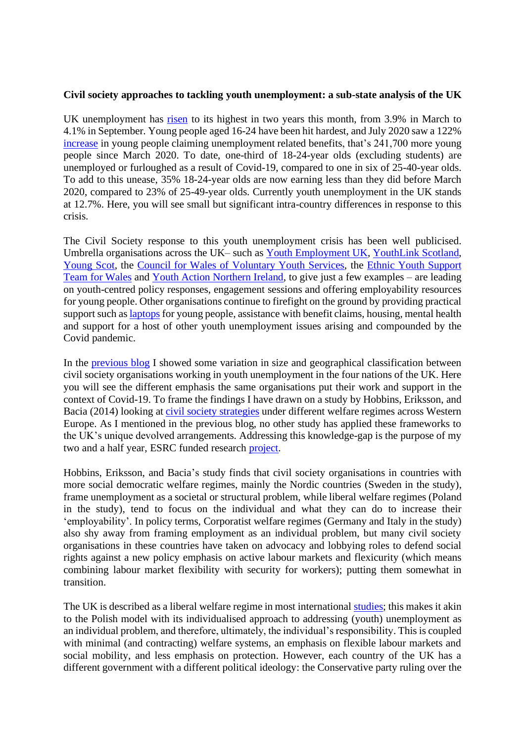## **Civil society approaches to tackling youth unemployment: a sub-state analysis of the UK**

UK unemployment has [risen](https://www.bbc.co.uk/news/business-54146833) to its highest in two years this month, from 3.9% in March to 4.1% in September. Young people aged 16-24 have been hit hardest, and July 2020 saw a 122% [increase](https://commonslibrary.parliament.uk/research-briefings/sn05871/) in young people claiming unemployment related benefits, that's 241,700 more young people since March 2020. To date, one-third of 18-24-year olds (excluding students) are unemployed or furloughed as a result of Covid-19, compared to one in six of 25-40-year olds. To add to this unease, 35% 18-24-year olds are now earning less than they did before March 2020, compared to 23% of 25-49-year olds. Currently youth unemployment in the UK stands at 12.7%. Here, you will see small but significant intra-country differences in response to this crisis.

The Civil Society response to this youth unemployment crisis has been well publicised. Umbrella organisations across the UK– such as [Youth Employment UK,](https://www.youthemployment.org.uk/) [YouthLink Scotland,](https://www.youthlinkscotland.org/policy/national-youth-work-strategy/) [Young Scot,](https://young.scot/) the [Council for Wales of Voluntary Youth Services,](https://www.cwvys.org.uk/cwvys-report-on-the-impact-of-covid-19/) the [Ethnic Youth Support](http://eyst.org.uk/)  [Team for Wales](http://eyst.org.uk/) and [Youth Action Northern Ireland,](https://www.youthaction.org/about) to give just a few examples – are leading on youth-centred policy responses, engagement sessions and offering employability resources for young people. Other organisations continue to firefight on the ground by providing practical support such as laptops for young people, assistance with benefit claims, housing, mental health and support for a host of other youth unemployment issues arising and compounded by the Covid pandemic.

In the [previous blog](https://wiserd.ac.uk/news/what-do-differences-civil-society-across-uk-nations-mean-looming-youth-unemployment-crisis) I showed some variation in size and geographical classification between civil society organisations working in youth unemployment in the four nations of the UK. Here you will see the different emphasis the same organisations put their work and support in the context of Covid-19. To frame the findings I have drawn on a study by Hobbins, Eriksson, and Bacia (2014) looking at [civil society strategies](https://link.springer.com/chapter/10.1057/9780230391437_3) under different welfare regimes across Western Europe. As I mentioned in the previous blog, no other study has applied these frameworks to the UK's unique devolved arrangements. Addressing this knowledge-gap is the purpose of my two and a half year, ESRC funded research [project.](https://wiserd.ac.uk/research/research-projects/youth-unemployment-and-civil-society-under-devolution-comparative)

Hobbins, Eriksson, and Bacia's study finds that civil society organisations in countries with more social democratic welfare regimes, mainly the Nordic countries (Sweden in the study), frame unemployment as a societal or structural problem, while liberal welfare regimes (Poland in the study), tend to focus on the individual and what they can do to increase their 'employability'. In policy terms, Corporatist welfare regimes (Germany and Italy in the study) also shy away from framing employment as an individual problem, but many civil society organisations in these countries have taken on advocacy and lobbying roles to defend social rights against a new policy emphasis on active labour markets and flexicurity (which means combining labour market flexibility with security for workers); putting them somewhat in transition.

The UK is described as a liberal welfare regime in most international [studies;](https://www.ncbi.nlm.nih.gov/pmc/articles/PMC2465657/) this makes it akin to the Polish model with its individualised approach to addressing (youth) unemployment as an individual problem, and therefore, ultimately, the individual's responsibility. This is coupled with minimal (and contracting) welfare systems, an emphasis on flexible labour markets and social mobility, and less emphasis on protection. However, each country of the UK has a different government with a different political ideology: the Conservative party ruling over the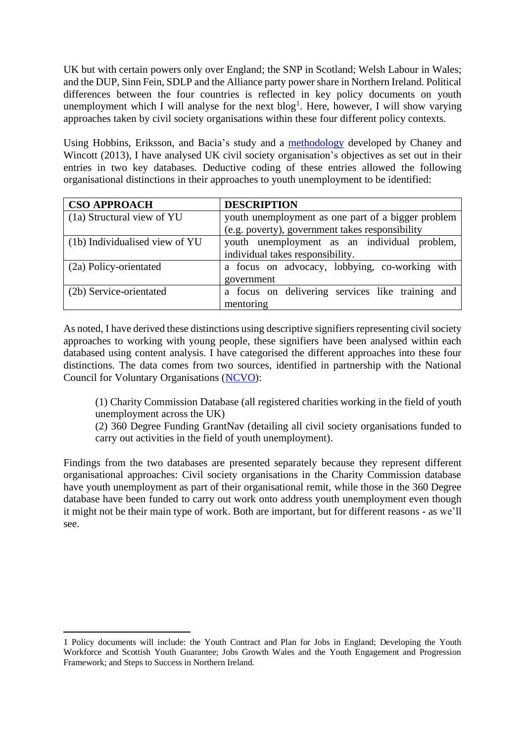UK but with certain powers only over England; the SNP in Scotland; Welsh Labour in Wales; and the DUP, Sinn Fein, SDLP and the Alliance party power share in Northern Ireland. Political differences between the four countries is reflected in key policy documents on youth unemployment which I will analyse for the next  $blog<sup>1</sup>$ . Here, however, I will show varying approaches taken by civil society organisations within these four different policy contexts.

Using Hobbins, Eriksson, and Bacia's study and a [methodology](https://onlinelibrary.wiley.com/doi/full/10.1111/spol.12062) developed by Chaney and Wincott (2013), I have analysed UK civil society organisation's objectives as set out in their entries in two key databases. Deductive coding of these entries allowed the following organisational distinctions in their approaches to youth unemployment to be identified:

| <b>CSO APPROACH</b>            | <b>DESCRIPTION</b>                                 |
|--------------------------------|----------------------------------------------------|
| (1a) Structural view of YU     | youth unemployment as one part of a bigger problem |
|                                | (e.g. poverty), government takes responsibility    |
| (1b) Individualised view of YU | youth unemployment as an individual problem,       |
|                                | individual takes responsibility.                   |
| (2a) Policy-orientated         | a focus on advocacy, lobbying, co-working with     |
|                                | government                                         |
| (2b) Service-orientated        | a focus on delivering services like training and   |
|                                | mentoring                                          |

As noted, I have derived these distinctions using descriptive signifiers representing civil society approaches to working with young people, these signifiers have been analysed within each databased using content analysis. I have categorised the different approaches into these four distinctions. The data comes from two sources, identified in partnership with the National Council for Voluntary Organisations [\(NCVO\)](https://www.ncvo.org.uk/):

(1) Charity Commission Database (all registered charities working in the field of youth unemployment across the UK)

(2) 360 Degree Funding GrantNav (detailing all civil society organisations funded to carry out activities in the field of youth unemployment).

Findings from the two databases are presented separately because they represent different organisational approaches: Civil society organisations in the Charity Commission database have youth unemployment as part of their organisational remit, while those in the 360 Degree database have been funded to carry out work onto address youth unemployment even though it might not be their main type of work. Both are important, but for different reasons - as we'll see.

<sup>1</sup> Policy documents will include: the Youth Contract and Plan for Jobs in England; Developing the Youth Workforce and Scottish Youth Guarantee; Jobs Growth Wales and the Youth Engagement and Progression Framework; and Steps to Success in Northern Ireland.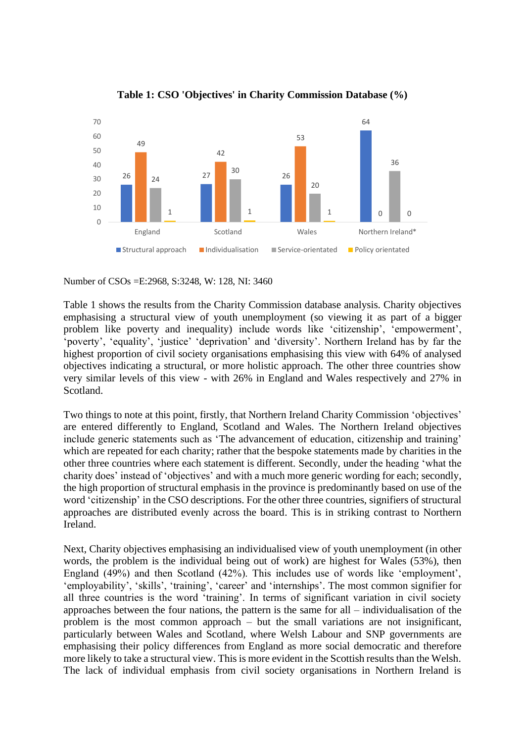

**Table 1: CSO 'Objectives' in Charity Commission Database (%)**

Number of CSOs =E:2968, S:3248, W: 128, NI: 3460

Table 1 shows the results from the Charity Commission database analysis. Charity objectives emphasising a structural view of youth unemployment (so viewing it as part of a bigger problem like poverty and inequality) include words like 'citizenship', 'empowerment', 'poverty', 'equality', 'justice' 'deprivation' and 'diversity'. Northern Ireland has by far the highest proportion of civil society organisations emphasising this view with 64% of analysed objectives indicating a structural, or more holistic approach. The other three countries show very similar levels of this view - with 26% in England and Wales respectively and 27% in Scotland.

Two things to note at this point, firstly, that Northern Ireland Charity Commission 'objectives' are entered differently to England, Scotland and Wales. The Northern Ireland objectives include generic statements such as 'The advancement of education, citizenship and training' which are repeated for each charity; rather that the bespoke statements made by charities in the other three countries where each statement is different. Secondly, under the heading 'what the charity does' instead of 'objectives' and with a much more generic wording for each; secondly, the high proportion of structural emphasis in the province is predominantly based on use of the word 'citizenship' in the CSO descriptions. For the other three countries, signifiers of structural approaches are distributed evenly across the board. This is in striking contrast to Northern Ireland.

Next, Charity objectives emphasising an individualised view of youth unemployment (in other words, the problem is the individual being out of work) are highest for Wales (53%), then England (49%) and then Scotland (42%). This includes use of words like 'employment', 'employability', 'skills', 'training', 'career' and 'internships'. The most common signifier for all three countries is the word 'training'. In terms of significant variation in civil society approaches between the four nations, the pattern is the same for all – individualisation of the problem is the most common approach – but the small variations are not insignificant, particularly between Wales and Scotland, where Welsh Labour and SNP governments are emphasising their policy differences from England as more social democratic and therefore more likely to take a structural view. This is more evident in the Scottish results than the Welsh. The lack of individual emphasis from civil society organisations in Northern Ireland is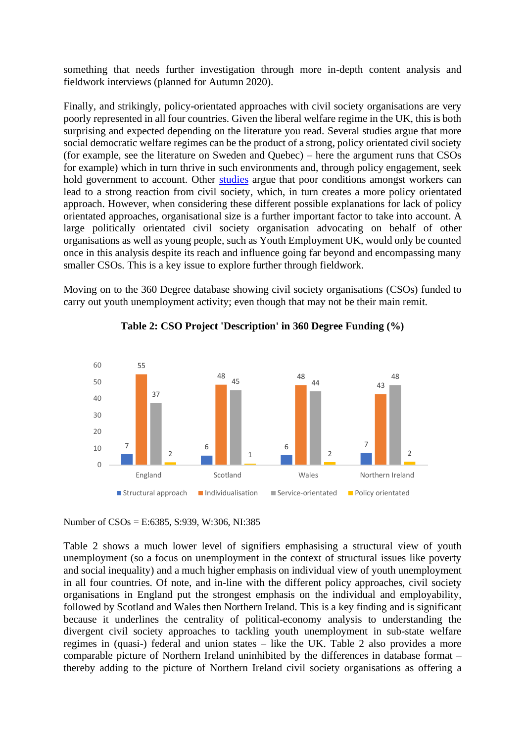something that needs further investigation through more in-depth content analysis and fieldwork interviews (planned for Autumn 2020).

Finally, and strikingly, policy-orientated approaches with civil society organisations are very poorly represented in all four countries. Given the liberal welfare regime in the UK, this is both surprising and expected depending on the literature you read. Several studies argue that more social democratic welfare regimes can be the product of a strong, policy orientated civil society (for example, see the literature on Sweden and Quebec) – here the argument runs that CSOs for example) which in turn thrive in such environments and, through policy engagement, seek hold government to account. Other [studies](https://www.palgrave.com/gp/book/9780230391420) argue that poor conditions amongst workers can lead to a strong reaction from civil society, which, in turn creates a more policy orientated approach. However, when considering these different possible explanations for lack of policy orientated approaches, organisational size is a further important factor to take into account. A large politically orientated civil society organisation advocating on behalf of other organisations as well as young people, such as Youth Employment UK, would only be counted once in this analysis despite its reach and influence going far beyond and encompassing many smaller CSOs. This is a key issue to explore further through fieldwork.

Moving on to the 360 Degree database showing civil society organisations (CSOs) funded to carry out youth unemployment activity; even though that may not be their main remit.



**Table 2: CSO Project 'Description' in 360 Degree Funding (%)**

Number of CSOs = E:6385, S:939, W:306, NI:385

Table 2 shows a much lower level of signifiers emphasising a structural view of youth unemployment (so a focus on unemployment in the context of structural issues like poverty and social inequality) and a much higher emphasis on individual view of youth unemployment in all four countries. Of note, and in-line with the different policy approaches, civil society organisations in England put the strongest emphasis on the individual and employability, followed by Scotland and Wales then Northern Ireland. This is a key finding and is significant because it underlines the centrality of political-economy analysis to understanding the divergent civil society approaches to tackling youth unemployment in sub-state welfare regimes in (quasi-) federal and union states – like the UK. Table 2 also provides a more comparable picture of Northern Ireland uninhibited by the differences in database format – thereby adding to the picture of Northern Ireland civil society organisations as offering a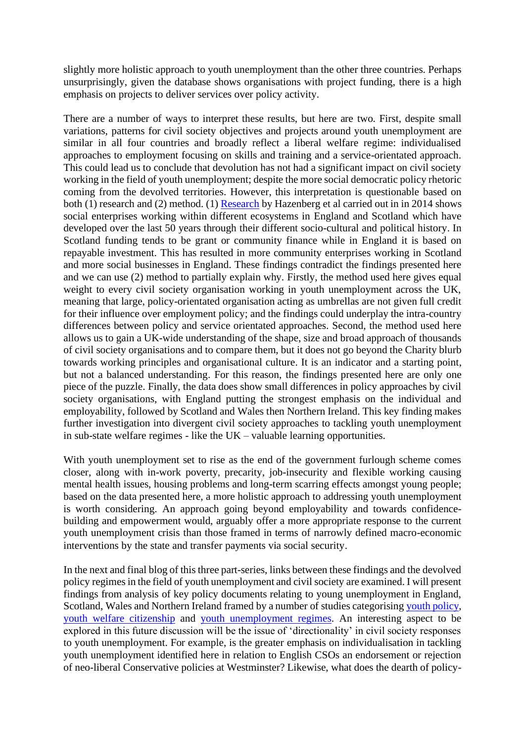slightly more holistic approach to youth unemployment than the other three countries. Perhaps unsurprisingly, given the database shows organisations with project funding, there is a high emphasis on projects to deliver services over policy activity.

There are a number of ways to interpret these results, but here are two. First, despite small variations, patterns for civil society objectives and projects around youth unemployment are similar in all four countries and broadly reflect a liberal welfare regime: individualised approaches to employment focusing on skills and training and a service-orientated approach. This could lead us to conclude that devolution has not had a significant impact on civil society working in the field of youth unemployment; despite the more social democratic policy rhetoric coming from the devolved territories. However, this interpretation is questionable based on both (1) research and (2) method. (1) [Research](https://researchonline.gcu.ac.uk/en/publications/a-comparative-overview-of-social-enterprise-ecosystems-in-scotlan) by Hazenberg et al carried out in in 2014 shows social enterprises working within different ecosystems in England and Scotland which have developed over the last 50 years through their different socio-cultural and political history. In Scotland funding tends to be grant or community finance while in England it is based on repayable investment. This has resulted in more community enterprises working in Scotland and more social businesses in England. These findings contradict the findings presented here and we can use (2) method to partially explain why. Firstly, the method used here gives equal weight to every civil society organisation working in youth unemployment across the UK, meaning that large, policy-orientated organisation acting as umbrellas are not given full credit for their influence over employment policy; and the findings could underplay the intra-country differences between policy and service orientated approaches. Second, the method used here allows us to gain a UK-wide understanding of the shape, size and broad approach of thousands of civil society organisations and to compare them, but it does not go beyond the Charity blurb towards working principles and organisational culture. It is an indicator and a starting point, but not a balanced understanding. For this reason, the findings presented here are only one piece of the puzzle. Finally, the data does show small differences in policy approaches by civil society organisations, with England putting the strongest emphasis on the individual and employability, followed by Scotland and Wales then Northern Ireland. This key finding makes further investigation into divergent civil society approaches to tackling youth unemployment in sub-state welfare regimes - like the UK – valuable learning opportunities.

With youth unemployment set to rise as the end of the government furlough scheme comes closer, along with in-work poverty, precarity, job-insecurity and flexible working causing mental health issues, housing problems and long-term scarring effects amongst young people; based on the data presented here, a more holistic approach to addressing youth unemployment is worth considering. An approach going beyond employability and towards confidencebuilding and empowerment would, arguably offer a more appropriate response to the current youth unemployment crisis than those framed in terms of narrowly defined macro-economic interventions by the state and transfer payments via social security.

In the next and final blog of this three part-series, links between these findings and the devolved policy regimes in the field of youth unemployment and civil society are examined. I will present findings from analysis of key policy documents relating to young unemployment in England, Scotland, Wales and Northern Ireland framed by a number of studies categorisin[g youth policy,](https://www.tandfonline.com/doi/abs/10.1080/15705850903105868) [youth welfare citizenship](https://journals.sagepub.com/doi/abs/10.1177/0958928715621710) and [youth unemployment regimes.](https://onlinelibrary.wiley.com/doi/abs/10.1111/ijsw.12016) An interesting aspect to be explored in this future discussion will be the issue of 'directionality' in civil society responses to youth unemployment. For example, is the greater emphasis on individualisation in tackling youth unemployment identified here in relation to English CSOs an endorsement or rejection of neo-liberal Conservative policies at Westminster? Likewise, what does the dearth of policy